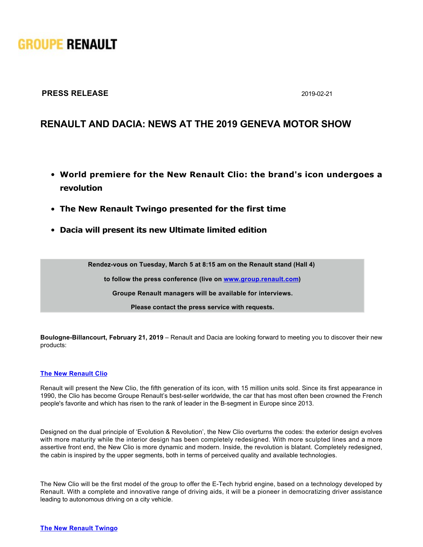# **GROUPE RENAULT**

### **PRESS RELEASE** 2019-02-21

## **RENAULT AND DACIA: NEWS AT THE 2019 GENEVA MOTOR SHOW**

- **World premiere for the New Renault Clio: the brand's icon undergoes a revolution**
- **The New Renault Twingo presented for the first time**
- **Dacia will present its new Ultimate limited edition**

**Rendezvous on Tuesday, March 5 at 8:15 am on the Renault stand (Hall 4)** 

**to follow the press conference (live on [www.group.renault.com](http://www.group.renault.com))**

**Groupe Renault managers will be available for interviews.**

**Please contact the press service with requests.**

**Boulogne-Billancourt, February 21, 2019** – Renault and Dacia are looking forward to meeting you to discover their new products:

### **[The New Renault Clio](https://media.group.renault.com/global/en-gb/renault/media/presspacks/21221396/nouvelle-renault-clio-licone-dune-nouvelle-generation-partie-2-design-exterieur)**

Renault will present the New Clio, the fifth generation of its icon, with 15 million units sold. Since its first appearance in 1990, the Clio has become Groupe Renault's best-seller worldwide, the car that has most often been crowned the French people's favorite and which has risen to the rank of leader in the B-segment in Europe since 2013.

Designed on the dual principle of 'Evolution & Revolution', the New Clio overturns the codes: the exterior design evolves with more maturity while the interior design has been completely redesigned. With more sculpted lines and a more assertive front end, the New Clio is more dynamic and modern. Inside, the revolution is blatant. Completely redesigned, the cabin is inspired by the upper segments, both in terms of perceived quality and available technologies.

The New Clio will be the first model of the group to offer the E-Tech hybrid engine, based on a technology developed by Renault. With a complete and innovative range of driving aids, it will be a pioneer in democratizing driver assistance leading to autonomous driving on a city vehicle.